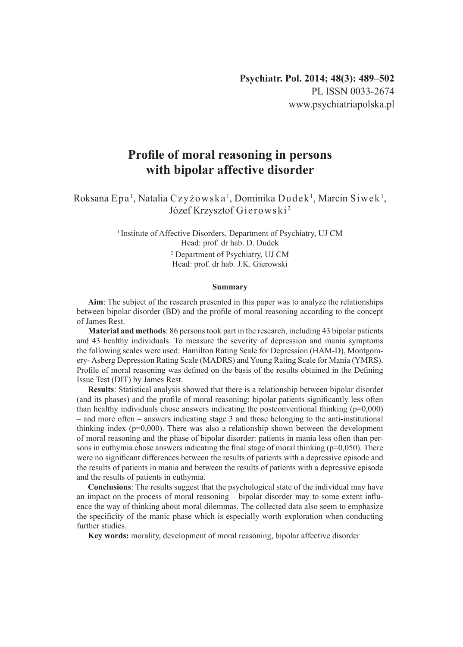# **Profile of moral reasoning in persons with bipolar affective disorder**

 $R$ oksana Epa<sup>1</sup>, Natalia Czyżowska<sup>1</sup>, Dominika Dudek<sup>1</sup>, Marcin Siwek<sup>1</sup>, Józef Krzysztof Gierowski <sup>2</sup>

> <sup>1</sup> Institute of Affective Disorders, Department of Psychiatry, UJ CM Head: prof. dr hab. D. Dudek

> > 2 Department of Psychiatry, UJ CM Head: prof. dr hab. J.K. Gierowski

#### **Summary**

**Aim**: The subject of the research presented in this paper was to analyze the relationships between bipolar disorder (BD) and the profile of moral reasoning according to the concept of James Rest.

**Material and methods**: 86 persons took part in the research, including 43 bipolar patients and 43 healthy individuals. To measure the severity of depression and mania symptoms the following scales were used: Hamilton Rating Scale for Depression (HAM-D), Montgomery- Asberg Depression Rating Scale (MADRS) and Young Rating Scale for Mania (YMRS). Profile of moral reasoning was defined on the basis of the results obtained in the Defining Issue Test (DIT) by James Rest.

**Results**: Statistical analysis showed that there is a relationship between bipolar disorder (and its phases) and the profile of moral reasoning: bipolar patients significantly less often than healthy individuals chose answers indicating the postconventional thinking  $(p=0,000)$ – and more often – answers indicating stage 3 and those belonging to the anti-institutional thinking index ( $p=0,000$ ). There was also a relationship shown between the development of moral reasoning and the phase of bipolar disorder: patients in mania less often than persons in euthymia chose answers indicating the final stage of moral thinking ( $p=0,050$ ). There were no significant differences between the results of patients with a depressive episode and the results of patients in mania and between the results of patients with a depressive episode and the results of patients in euthymia.

**Conclusions**: The results suggest that the psychological state of the individual may have an impact on the process of moral reasoning – bipolar disorder may to some extent influence the way of thinking about moral dilemmas. The collected data also seem to emphasize the specificity of the manic phase which is especially worth exploration when conducting further studies.

**Key words:** morality, development of moral reasoning, bipolar affective disorder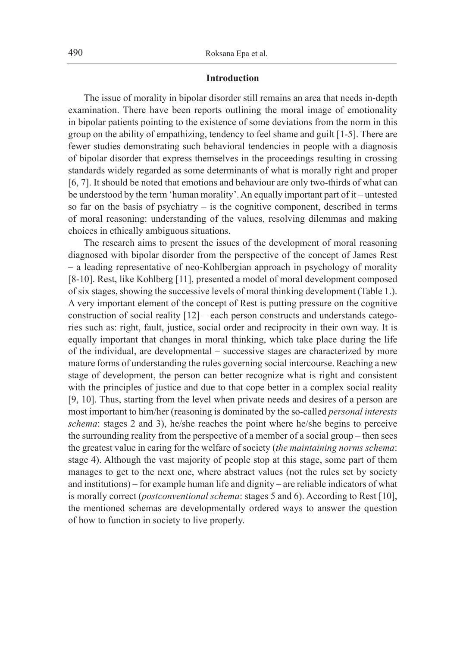### **Introduction**

The issue of morality in bipolar disorder still remains an area that needs in-depth examination. There have been reports outlining the moral image of emotionality in bipolar patients pointing to the existence of some deviations from the norm in this group on the ability of empathizing, tendency to feel shame and guilt [1-5]. There are fewer studies demonstrating such behavioral tendencies in people with a diagnosis of bipolar disorder that express themselves in the proceedings resulting in crossing standards widely regarded as some determinants of what is morally right and proper [6, 7]. It should be noted that emotions and behaviour are only two-thirds of what can be understood by the term 'human morality'. An equally important part of it – untested so far on the basis of psychiatry – is the cognitive component, described in terms of moral reasoning: understanding of the values, resolving dilemmas and making choices in ethically ambiguous situations.

The research aims to present the issues of the development of moral reasoning diagnosed with bipolar disorder from the perspective of the concept of James Rest – a leading representative of neo-Kohlbergian approach in psychology of morality [8-10]. Rest, like Kohlberg [11], presented a model of moral development composed of six stages, showing the successive levels of moral thinking development (Table 1.). A very important element of the concept of Rest is putting pressure on the cognitive construction of social reality [12] – each person constructs and understands categories such as: right, fault, justice, social order and reciprocity in their own way. It is equally important that changes in moral thinking, which take place during the life of the individual, are developmental – successive stages are characterized by more mature forms of understanding the rules governing social intercourse. Reaching a new stage of development, the person can better recognize what is right and consistent with the principles of justice and due to that cope better in a complex social reality [9, 10]. Thus, starting from the level when private needs and desires of a person are most important to him/her (reasoning is dominated by the so-called *personal interests schema*: stages 2 and 3), he/she reaches the point where he/she begins to perceive the surrounding reality from the perspective of a member of a social group – then sees the greatest value in caring for the welfare of society (*the maintaining norms schema*: stage 4). Although the vast majority of people stop at this stage, some part of them manages to get to the next one, where abstract values (not the rules set by society and institutions) – for example human life and dignity – are reliable indicators of what is morally correct (*postconventional schema*: stages 5 and 6). According to Rest [10], the mentioned schemas are developmentally ordered ways to answer the question of how to function in society to live properly.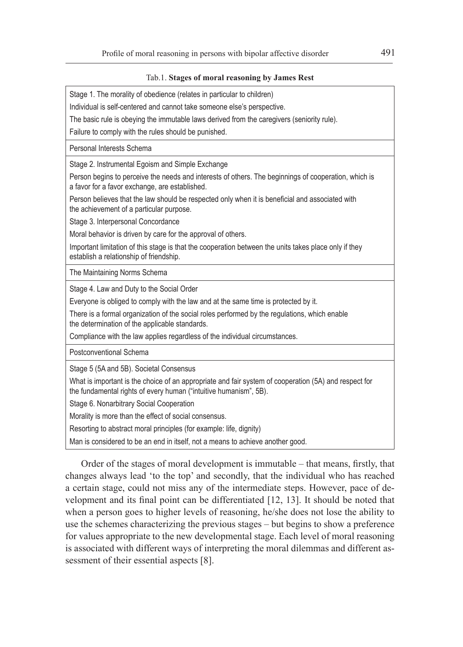#### Tab.1. **Stages of moral reasoning by James Rest**

Stage 1. The morality of obedience (relates in particular to children)

Individual is self-centered and cannot take someone else's perspective.

The basic rule is obeying the immutable laws derived from the caregivers (seniority rule).

Failure to comply with the rules should be punished.

Personal Interests Schema

Stage 2. Instrumental Egoism and Simple Exchange

Person begins to perceive the needs and interests of others. The beginnings of cooperation, which is a favor for a favor exchange, are established.

Person believes that the law should be respected only when it is beneficial and associated with the achievement of a particular purpose.

Stage 3. Interpersonal Concordance

Moral behavior is driven by care for the approval of others.

Important limitation of this stage is that the cooperation between the units takes place only if they establish a relationship of friendship.

The Maintaining Norms Schema

Stage 4. Law and Duty to the Social Order

Everyone is obliged to comply with the law and at the same time is protected by it.

There is a formal organization of the social roles performed by the regulations, which enable the determination of the applicable standards.

Compliance with the law applies regardless of the individual circumstances.

Postconventional Schema

Stage 5 (5A and 5B). Societal Consensus

What is important is the choice of an appropriate and fair system of cooperation (5A) and respect for the fundamental rights of every human ("intuitive humanism", 5B).

Stage 6. Nonarbitrary Social Cooperation

Morality is more than the effect of social consensus.

Resorting to abstract moral principles (for example: life, dignity)

Man is considered to be an end in itself, not a means to achieve another good.

Order of the stages of moral development is immutable – that means, firstly, that changes always lead 'to the top' and secondly, that the individual who has reached a certain stage, could not miss any of the intermediate steps. However, pace of development and its final point can be differentiated [12, 13]. It should be noted that when a person goes to higher levels of reasoning, he/she does not lose the ability to use the schemes characterizing the previous stages – but begins to show a preference for values appropriate to the new developmental stage. Each level of moral reasoning is associated with different ways of interpreting the moral dilemmas and different assessment of their essential aspects [8].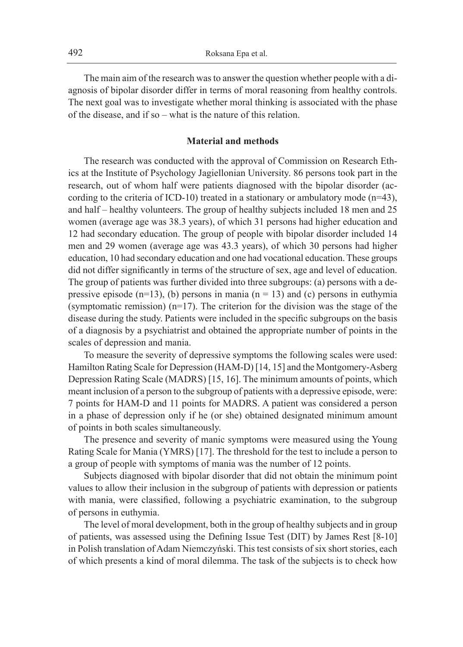The main aim of the research was to answer the question whether people with a diagnosis of bipolar disorder differ in terms of moral reasoning from healthy controls. The next goal was to investigate whether moral thinking is associated with the phase of the disease, and if so – what is the nature of this relation.

# **Material and methods**

The research was conducted with the approval of Commission on Research Ethics at the Institute of Psychology Jagiellonian University. 86 persons took part in the research, out of whom half were patients diagnosed with the bipolar disorder (according to the criteria of ICD-10) treated in a stationary or ambulatory mode (n=43), and half – healthy volunteers. The group of healthy subjects included 18 men and 25 women (average age was 38.3 years), of which 31 persons had higher education and 12 had secondary education. The group of people with bipolar disorder included 14 men and 29 women (average age was 43.3 years), of which 30 persons had higher education, 10 had secondary education and one had vocational education. These groups did not differ significantly in terms of the structure of sex, age and level of education. The group of patients was further divided into three subgroups: (a) persons with a depressive episode  $(n=13)$ , (b) persons in mania  $(n=13)$  and (c) persons in euthymia (symptomatic remission) (n=17). The criterion for the division was the stage of the disease during the study. Patients were included in the specific subgroups on the basis of a diagnosis by a psychiatrist and obtained the appropriate number of points in the scales of depression and mania.

To measure the severity of depressive symptoms the following scales were used: Hamilton Rating Scale for Depression (HAM-D) [14, 15] and the Montgomery-Asberg Depression Rating Scale (MADRS) [15, 16]. The minimum amounts of points, which meant inclusion of a person to the subgroup of patients with a depressive episode, were: 7 points for HAM-D and 11 points for MADRS. A patient was considered a person in a phase of depression only if he (or she) obtained designated minimum amount of points in both scales simultaneously.

The presence and severity of manic symptoms were measured using the Young Rating Scale for Mania (YMRS) [17]. The threshold for the test to include a person to a group of people with symptoms of mania was the number of 12 points.

Subjects diagnosed with bipolar disorder that did not obtain the minimum point values to allow their inclusion in the subgroup of patients with depression or patients with mania, were classified, following a psychiatric examination, to the subgroup of persons in euthymia.

The level of moral development, both in the group of healthy subjects and in group of patients, was assessed using the Defining Issue Test (DIT) by James Rest [8-10] in Polish translation of Adam Niemczyński. This test consists of six short stories, each of which presents a kind of moral dilemma. The task of the subjects is to check how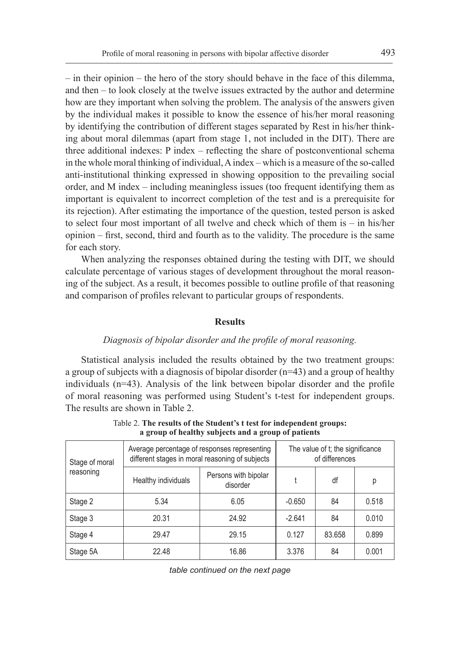– in their opinion – the hero of the story should behave in the face of this dilemma, and then – to look closely at the twelve issues extracted by the author and determine how are they important when solving the problem. The analysis of the answers given by the individual makes it possible to know the essence of his/her moral reasoning by identifying the contribution of different stages separated by Rest in his/her thinking about moral dilemmas (apart from stage 1, not included in the DIT). There are three additional indexes: P index – reflecting the share of postconventional schema in the whole moral thinking of individual, A index – which is a measure of the so-called anti-institutional thinking expressed in showing opposition to the prevailing social order, and M index – including meaningless issues (too frequent identifying them as important is equivalent to incorrect completion of the test and is a prerequisite for its rejection). After estimating the importance of the question, tested person is asked to select four most important of all twelve and check which of them is – in his/her opinion – first, second, third and fourth as to the validity. The procedure is the same for each story.

When analyzing the responses obtained during the testing with DIT, we should calculate percentage of various stages of development throughout the moral reasoning of the subject. As a result, it becomes possible to outline profile of that reasoning and comparison of profiles relevant to particular groups of respondents.

#### **Results**

# *Diagnosis of bipolar disorder and the profile of moral reasoning.*

Statistical analysis included the results obtained by the two treatment groups: a group of subjects with a diagnosis of bipolar disorder (n=43) and a group of healthy individuals (n=43). Analysis of the link between bipolar disorder and the profile of moral reasoning was performed using Student's t-test for independent groups. The results are shown in Table 2.

| Stage of moral |                     | Average percentage of responses representing<br>different stages in moral reasoning of subjects | The value of t; the significance<br>of differences |        |       |
|----------------|---------------------|-------------------------------------------------------------------------------------------------|----------------------------------------------------|--------|-------|
| reasoning      | Healthy individuals | Persons with bipolar<br>disorder                                                                | df                                                 |        | р     |
| Stage 2        | 5.34                | 6.05                                                                                            | $-0.650$                                           | 84     | 0.518 |
| Stage 3        | 20.31               | 24.92                                                                                           | $-2.641$                                           | 84     | 0.010 |
| Stage 4        | 29.47               | 29.15                                                                                           | 0.127                                              | 83.658 | 0.899 |
| Stage 5A       | 22.48               | 16.86                                                                                           | 3.376                                              | 84     | 0.001 |

Table 2. **The results of the Student's t test for independent groups: a group of healthy subjects and a group of patients**

*table continued on the next page*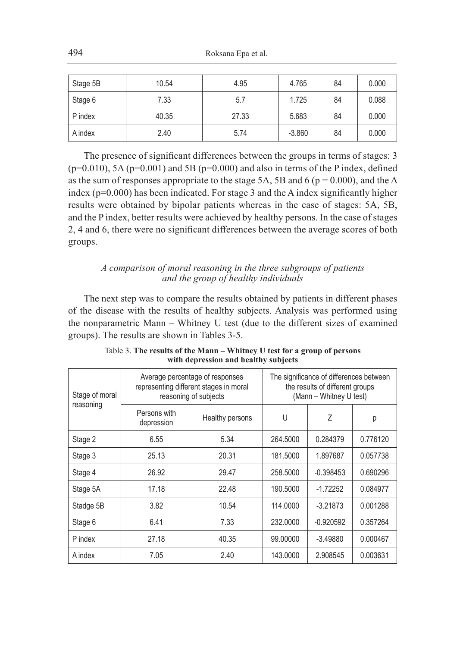| Stage 5B | 10.54 | 4.95  | 4.765    | 84 | 0.000 |
|----------|-------|-------|----------|----|-------|
| Stage 6  | 7.33  | 5.7   | 1.725    | 84 | 0.088 |
| P index  | 40.35 | 27.33 | 5.683    | 84 | 0.000 |
| A index  | 2.40  | 5.74  | $-3.860$ | 84 | 0.000 |

The presence of significant differences between the groups in terms of stages: 3  $(p=0.010)$ , 5A  $(p=0.001)$  and 5B  $(p=0.000)$  and also in terms of the P index, defined as the sum of responses appropriate to the stage 5A, 5B and 6 ( $p = 0.000$ ), and the A index ( $p=0.000$ ) has been indicated. For stage 3 and the A index significantly higher results were obtained by bipolar patients whereas in the case of stages: 5A, 5B, and the P index, better results were achieved by healthy persons. In the case of stages 2, 4 and 6, there were no significant differences between the average scores of both groups.

# *A comparison of moral reasoning in the three subgroups of patients and the group of healthy individuals*

The next step was to compare the results obtained by patients in different phases of the disease with the results of healthy subjects. Analysis was performed using the nonparametric Mann – Whitney U test (due to the different sizes of examined groups). The results are shown in Tables 3-5.

| Stage of moral | Average percentage of responses | representing different stages in moral<br>reasoning of subjects | The significance of differences between<br>the results of different groups<br>(Mann - Whitney U test) |             |          |
|----------------|---------------------------------|-----------------------------------------------------------------|-------------------------------------------------------------------------------------------------------|-------------|----------|
| reasoning      | Persons with<br>depression      | Healthy persons                                                 | U                                                                                                     | 7           | р        |
| Stage 2        | 6.55                            | 5.34                                                            | 264.5000                                                                                              | 0.284379    | 0.776120 |
| Stage 3        | 25.13                           | 20.31                                                           | 181.5000                                                                                              | 1.897687    | 0.057738 |
| Stage 4        | 26.92                           | 29.47                                                           | 258,5000                                                                                              | $-0.398453$ | 0.690296 |
| Stage 5A       | 17.18                           | 22.48                                                           | 190.5000                                                                                              | $-1.72252$  | 0.084977 |
| Stadge 5B      | 3.82                            | 10.54                                                           | 114.0000                                                                                              | $-3.21873$  | 0.001288 |
| Stage 6        | 6.41                            | 7.33                                                            | 232,0000                                                                                              | $-0.920592$ | 0.357264 |
| P index        | 27.18                           | 40.35                                                           | 99.00000                                                                                              | $-3.49880$  | 0.000467 |
| A index        | 7.05                            | 2.40                                                            | 143,0000                                                                                              | 2.908545    | 0.003631 |

Table 3. **The results of the Mann – Whitney U test for a group of persons with depression and healthy subjects**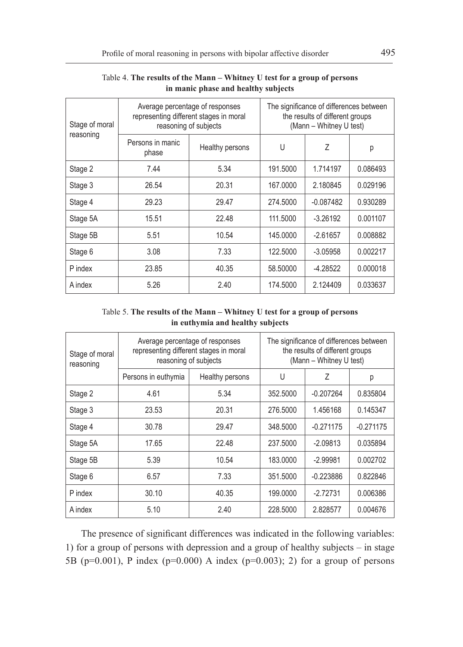| Stage of moral | Average percentage of responses<br>representing different stages in moral<br>reasoning of subjects | The significance of differences between<br>the results of different groups<br>(Mann - Whitney U test) |          |             |          |  |  |
|----------------|----------------------------------------------------------------------------------------------------|-------------------------------------------------------------------------------------------------------|----------|-------------|----------|--|--|
| reasoning      | Persons in manic<br>phase                                                                          | Healthy persons                                                                                       | U        | Ζ           | р        |  |  |
| Stage 2        | 7.44                                                                                               | 5.34                                                                                                  | 191.5000 | 1.714197    | 0.086493 |  |  |
| Stage 3        | 26.54                                                                                              | 20.31                                                                                                 | 167,0000 | 2.180845    | 0.029196 |  |  |
| Stage 4        | 29.23                                                                                              | 29.47                                                                                                 | 274.5000 | $-0.087482$ | 0.930289 |  |  |
| Stage 5A       | 15.51                                                                                              | 22.48                                                                                                 | 111.5000 | $-3.26192$  | 0.001107 |  |  |
| Stage 5B       | 5.51                                                                                               | 10.54                                                                                                 | 145.0000 | $-2.61657$  | 0.008882 |  |  |
| Stage 6        | 3.08                                                                                               | 7.33                                                                                                  | 122.5000 | $-3.05958$  | 0.002217 |  |  |
| P index        | 23.85                                                                                              | 40.35                                                                                                 | 58.50000 | $-4.28522$  | 0.000018 |  |  |
| A index        | 5.26                                                                                               | 2.40                                                                                                  | 174.5000 | 2.124409    | 0.033637 |  |  |

### Table 4. **The results of the Mann – Whitney U test for a group of persons in manic phase and healthy subjects**

Table 5. **The results of the Mann – Whitney U test for a group of persons in euthymia and healthy subjects**

| Stage of moral<br>reasoning |                     | Average percentage of responses<br>representing different stages in moral<br>reasoning of subjects | The significance of differences between<br>the results of different groups<br>(Mann - Whitney U test) |             |             |
|-----------------------------|---------------------|----------------------------------------------------------------------------------------------------|-------------------------------------------------------------------------------------------------------|-------------|-------------|
|                             | Persons in euthymia | Healthy persons                                                                                    | U                                                                                                     | 7           | р           |
| Stage 2                     | 4.61                | 5.34                                                                                               | 352.5000                                                                                              | $-0.207264$ | 0.835804    |
| Stage 3                     | 23.53               | 20.31                                                                                              | 276,5000                                                                                              | 1.456168    | 0.145347    |
| Stage 4                     | 30.78               | 29.47                                                                                              | 348,5000                                                                                              | $-0.271175$ | $-0.271175$ |
| Stage 5A                    | 17.65               | 22.48                                                                                              | 237.5000                                                                                              | $-2.09813$  | 0.035894    |
| Stage 5B                    | 5.39                | 10.54                                                                                              | 183.0000                                                                                              | $-2.99981$  | 0.002702    |
| Stage 6                     | 6.57                | 7.33                                                                                               | 351.5000                                                                                              | $-0.223886$ | 0.822846    |
| P index                     | 30.10               | 40.35                                                                                              | 199.0000                                                                                              | $-2.72731$  | 0.006386    |
| A index                     | 5.10                | 2.40                                                                                               | 228,5000                                                                                              | 2.828577    | 0.004676    |

The presence of significant differences was indicated in the following variables: 1) for a group of persons with depression and a group of healthy subjects – in stage 5B ( $p=0.001$ ), P index ( $p=0.000$ ) A index ( $p=0.003$ ); 2) for a group of persons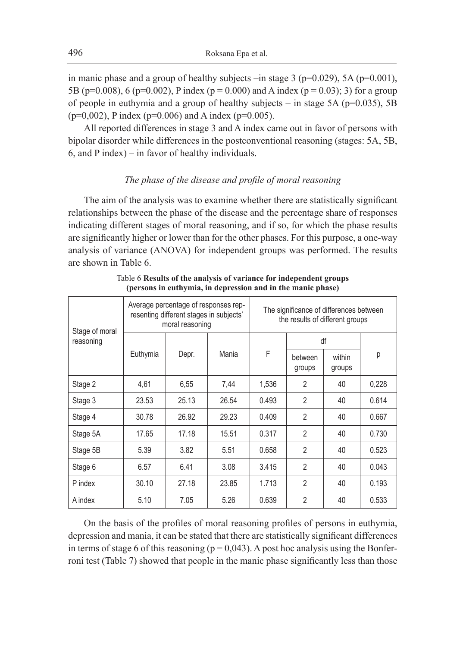in manic phase and a group of healthy subjects –in stage 3 ( $p=0.029$ ), 5A ( $p=0.001$ ), 5B (p=0.008), 6 (p=0.002), P index (p = 0.000) and A index (p = 0.03); 3) for a group of people in euthymia and a group of healthy subjects – in stage  $5A$  ( $p=0.035$ ),  $5B$  $(p=0.002)$ , P index (p=0.006) and A index (p=0.005).

All reported differences in stage 3 and A index came out in favor of persons with bipolar disorder while differences in the postconventional reasoning (stages: 5A, 5B, 6, and P index) – in favor of healthy individuals.

# *The phase of the disease and profile of moral reasoning*

The aim of the analysis was to examine whether there are statistically significant relationships between the phase of the disease and the percentage share of responses indicating different stages of moral reasoning, and if so, for which the phase results are significantly higher or lower than for the other phases. For this purpose, a one-way analysis of variance (ANOVA) for independent groups was performed. The results are shown in Table 6.

| Stage of moral<br>reasoning | Average percentage of responses rep-<br>resenting different stages in subjects'<br>moral reasoning |                     |       | The significance of differences between<br>the results of different groups |                  |    |       |
|-----------------------------|----------------------------------------------------------------------------------------------------|---------------------|-------|----------------------------------------------------------------------------|------------------|----|-------|
|                             |                                                                                                    |                     |       |                                                                            | df               |    |       |
|                             | Euthymia                                                                                           | F<br>Mania<br>Depr. |       | between<br>groups                                                          | within<br>groups | р  |       |
| Stage 2                     | 4,61                                                                                               | 6,55                | 7,44  | 1,536                                                                      | 2                | 40 | 0,228 |
| Stage 3                     | 23.53                                                                                              | 25.13               | 26.54 | 0.493                                                                      | $\overline{2}$   | 40 | 0.614 |
| Stage 4                     | 30.78                                                                                              | 26.92               | 29.23 | 0.409                                                                      | $\overline{2}$   | 40 | 0.667 |
| Stage 5A                    | 17.65                                                                                              | 17.18               | 15.51 | 0.317                                                                      | $\mathfrak{p}$   | 40 | 0.730 |
| Stage 5B                    | 5.39                                                                                               | 3.82                | 5.51  | 0.658                                                                      | $\overline{2}$   | 40 | 0.523 |
| Stage 6                     | 6.57                                                                                               | 6.41                | 3.08  | 3.415                                                                      | $\mathfrak{p}$   | 40 | 0.043 |
| P index                     | 30.10                                                                                              | 27.18               | 23.85 | 1.713                                                                      | $\mathfrak{p}$   | 40 | 0.193 |
| A index                     | 5.10                                                                                               | 7.05                | 5.26  | 0.639                                                                      | $\overline{2}$   | 40 | 0.533 |

Table 6 **Results of the analysis of variance for independent groups (persons in euthymia, in depression and in the manic phase)**

On the basis of the profiles of moral reasoning profiles of persons in euthymia, depression and mania, it can be stated that there are statistically significant differences in terms of stage 6 of this reasoning ( $p = 0.043$ ). A post hoc analysis using the Bonferroni test (Table 7) showed that people in the manic phase significantly less than those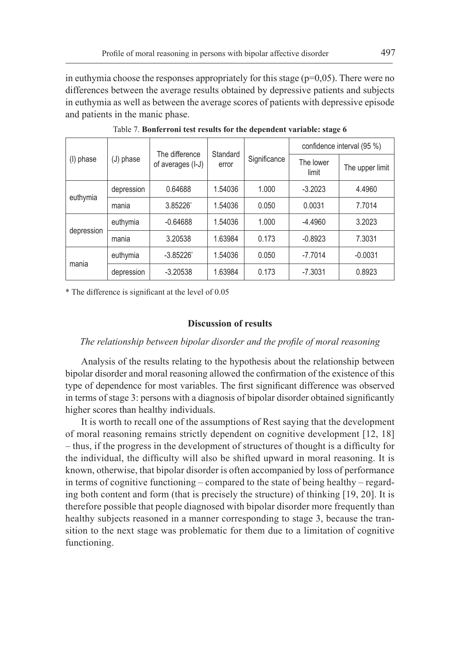in euthymia choose the responses appropriately for this stage  $(p=0.05)$ . There were no differences between the average results obtained by depressive patients and subjects in euthymia as well as between the average scores of patients with depressive episode and patients in the manic phase.

|            | (J) phase  | The difference<br>of averages (I-J) | Standard<br>error |              | confidence interval (95 %) |                 |  |
|------------|------------|-------------------------------------|-------------------|--------------|----------------------------|-----------------|--|
| (I) phase  |            |                                     |                   | Significance | The lower<br>limit         | The upper limit |  |
|            | depression | 0.64688                             | 1.54036           | 1.000        | $-3.2023$                  | 4.4960          |  |
| euthymia   | mania      | 3.85226                             | 1.54036           | 0.050        | 0.0031                     | 7.7014          |  |
| depression | euthymia   | $-0.64688$                          | 1.54036           | 1.000        | $-4.4960$                  | 3.2023          |  |
|            | mania      | 3.20538                             | 1.63984           | 0.173        | $-0.8923$                  | 7.3031          |  |
| mania      | euthymia   | $-3.85226$                          | 1.54036           | 0.050        | $-7.7014$                  | $-0.0031$       |  |
|            | depression | $-3.20538$                          | 1.63984           | 0.173        | $-7.3031$                  | 0.8923          |  |

Table 7. **Bonferroni test results for the dependent variable: stage 6**

\* The difference is significant at the level of 0.05

#### **Discussion of results**

# *The relationship between bipolar disorder and the profile of moral reasoning*

Analysis of the results relating to the hypothesis about the relationship between bipolar disorder and moral reasoning allowed the confirmation of the existence of this type of dependence for most variables. The first significant difference was observed in terms of stage 3: persons with a diagnosis of bipolar disorder obtained significantly higher scores than healthy individuals.

It is worth to recall one of the assumptions of Rest saying that the development of moral reasoning remains strictly dependent on cognitive development [12, 18] – thus, if the progress in the development of structures of thought is a difficulty for the individual, the difficulty will also be shifted upward in moral reasoning. It is known, otherwise, that bipolar disorder is often accompanied by loss of performance in terms of cognitive functioning – compared to the state of being healthy – regarding both content and form (that is precisely the structure) of thinking [19, 20]. It is therefore possible that people diagnosed with bipolar disorder more frequently than healthy subjects reasoned in a manner corresponding to stage 3, because the transition to the next stage was problematic for them due to a limitation of cognitive functioning.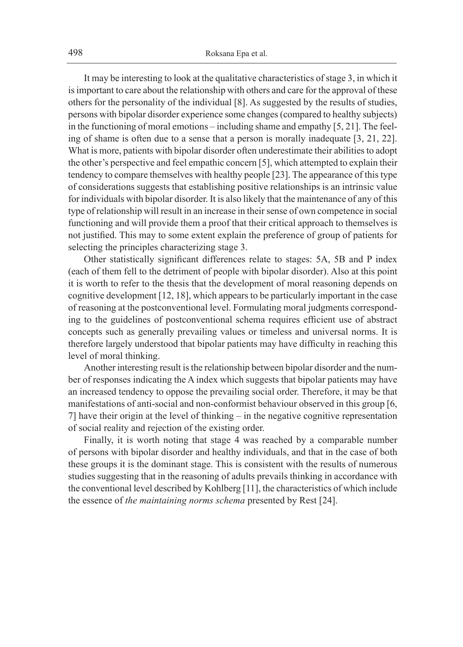It may be interesting to look at the qualitative characteristics of stage 3, in which it is important to care about the relationship with others and care for the approval of these others for the personality of the individual [8]. As suggested by the results of studies, persons with bipolar disorder experience some changes (compared to healthy subjects) in the functioning of moral emotions – including shame and empathy [5, 21]. The feeling of shame is often due to a sense that a person is morally inadequate [3, 21, 22]. What is more, patients with bipolar disorder often underestimate their abilities to adopt the other's perspective and feel empathic concern [5], which attempted to explain their tendency to compare themselves with healthy people [23]. The appearance of this type of considerations suggests that establishing positive relationships is an intrinsic value for individuals with bipolar disorder. It is also likely that the maintenance of any of this type of relationship will result in an increase in their sense of own competence in social functioning and will provide them a proof that their critical approach to themselves is not justified. This may to some extent explain the preference of group of patients for selecting the principles characterizing stage 3.

Other statistically significant differences relate to stages: 5A, 5B and P index (each of them fell to the detriment of people with bipolar disorder). Also at this point it is worth to refer to the thesis that the development of moral reasoning depends on cognitive development [12, 18], which appears to be particularly important in the case of reasoning at the postconventional level. Formulating moral judgments corresponding to the guidelines of postconventional schema requires efficient use of abstract concepts such as generally prevailing values or timeless and universal norms. It is therefore largely understood that bipolar patients may have difficulty in reaching this level of moral thinking.

Another interesting result is the relationship between bipolar disorder and the number of responses indicating the A index which suggests that bipolar patients may have an increased tendency to oppose the prevailing social order. Therefore, it may be that manifestations of anti-social and non-conformist behaviour observed in this group [6, 7] have their origin at the level of thinking – in the negative cognitive representation of social reality and rejection of the existing order.

Finally, it is worth noting that stage 4 was reached by a comparable number of persons with bipolar disorder and healthy individuals, and that in the case of both these groups it is the dominant stage. This is consistent with the results of numerous studies suggesting that in the reasoning of adults prevails thinking in accordance with the conventional level described by Kohlberg [11], the characteristics of which include the essence of *the maintaining norms schema* presented by Rest [24].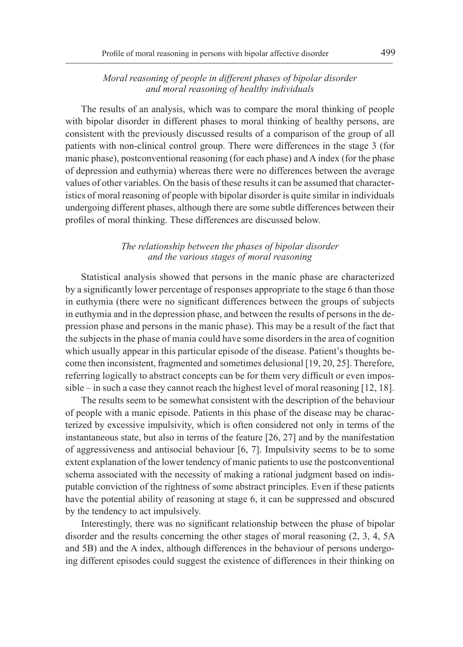# *Moral reasoning of people in different phases of bipolar disorder and moral reasoning of healthy individuals*

The results of an analysis, which was to compare the moral thinking of people with bipolar disorder in different phases to moral thinking of healthy persons, are consistent with the previously discussed results of a comparison of the group of all patients with non-clinical control group. There were differences in the stage 3 (for manic phase), postconventional reasoning (for each phase) and A index (for the phase of depression and euthymia) whereas there were no differences between the average values of other variables. On the basis of these results it can be assumed that characteristics of moral reasoning of people with bipolar disorder is quite similar in individuals undergoing different phases, although there are some subtle differences between their profiles of moral thinking. These differences are discussed below.

# *The relationship between the phases of bipolar disorder and the various stages of moral reasoning*

Statistical analysis showed that persons in the manic phase are characterized by a significantly lower percentage of responses appropriate to the stage 6 than those in euthymia (there were no significant differences between the groups of subjects in euthymia and in the depression phase, and between the results of persons in the depression phase and persons in the manic phase). This may be a result of the fact that the subjects in the phase of mania could have some disorders in the area of cognition which usually appear in this particular episode of the disease. Patient's thoughts become then inconsistent, fragmented and sometimes delusional [19, 20, 25]. Therefore, referring logically to abstract concepts can be for them very difficult or even impossible – in such a case they cannot reach the highest level of moral reasoning [12, 18].

The results seem to be somewhat consistent with the description of the behaviour of people with a manic episode. Patients in this phase of the disease may be characterized by excessive impulsivity, which is often considered not only in terms of the instantaneous state, but also in terms of the feature [26, 27] and by the manifestation of aggressiveness and antisocial behaviour [6, 7]. Impulsivity seems to be to some extent explanation of the lower tendency of manic patients to use the postconventional schema associated with the necessity of making a rational judgment based on indisputable conviction of the rightness of some abstract principles. Even if these patients have the potential ability of reasoning at stage 6, it can be suppressed and obscured by the tendency to act impulsively.

Interestingly, there was no significant relationship between the phase of bipolar disorder and the results concerning the other stages of moral reasoning (2, 3, 4, 5A and 5B) and the A index, although differences in the behaviour of persons undergoing different episodes could suggest the existence of differences in their thinking on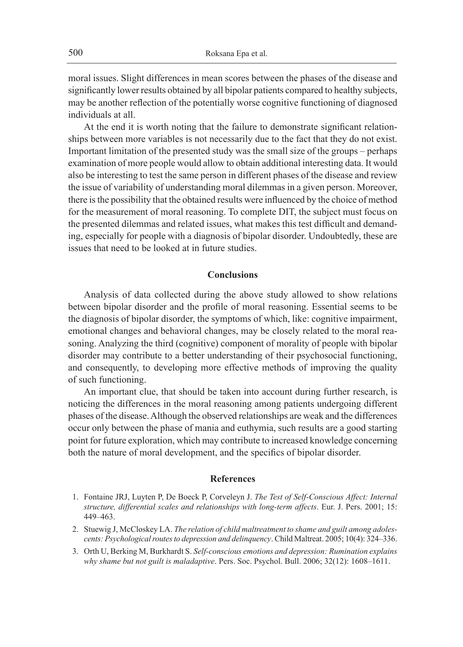moral issues. Slight differences in mean scores between the phases of the disease and significantly lower results obtained by all bipolar patients compared to healthy subjects, may be another reflection of the potentially worse cognitive functioning of diagnosed individuals at all.

At the end it is worth noting that the failure to demonstrate significant relationships between more variables is not necessarily due to the fact that they do not exist. Important limitation of the presented study was the small size of the groups – perhaps examination of more people would allow to obtain additional interesting data. It would also be interesting to test the same person in different phases of the disease and review the issue of variability of understanding moral dilemmas in a given person. Moreover, there is the possibility that the obtained results were influenced by the choice of method for the measurement of moral reasoning. To complete DIT, the subject must focus on the presented dilemmas and related issues, what makes this test difficult and demanding, especially for people with a diagnosis of bipolar disorder. Undoubtedly, these are issues that need to be looked at in future studies.

#### **Conclusions**

Analysis of data collected during the above study allowed to show relations between bipolar disorder and the profile of moral reasoning. Essential seems to be the diagnosis of bipolar disorder, the symptoms of which, like: cognitive impairment, emotional changes and behavioral changes, may be closely related to the moral reasoning. Analyzing the third (cognitive) component of morality of people with bipolar disorder may contribute to a better understanding of their psychosocial functioning, and consequently, to developing more effective methods of improving the quality of such functioning.

An important clue, that should be taken into account during further research, is noticing the differences in the moral reasoning among patients undergoing different phases of the disease. Although the observed relationships are weak and the differences occur only between the phase of mania and euthymia, such results are a good starting point for future exploration, which may contribute to increased knowledge concerning both the nature of moral development, and the specifics of bipolar disorder.

#### **References**

- 1. Fontaine JRJ, Luyten P, De Boeck P, Corveleyn J. *The Test of Self-Conscious Affect: Internal structure, differential scales and relationships with long-term affects*. Eur. J. Pers. 2001; 15: 449–463.
- 2. Stuewig J, McCloskey LA. *The relation of child maltreatment to shame and guilt among adolescents: Psychological routes to depression and delinquency*. Child Maltreat. 2005; 10(4): 324–336.
- 3. Orth U, Berking M, Burkhardt S. *Self-conscious emotions and depression: Rumination explains why shame but not guilt is maladaptive*. Pers. Soc. Psychol. Bull. 2006; 32(12): 1608–1611.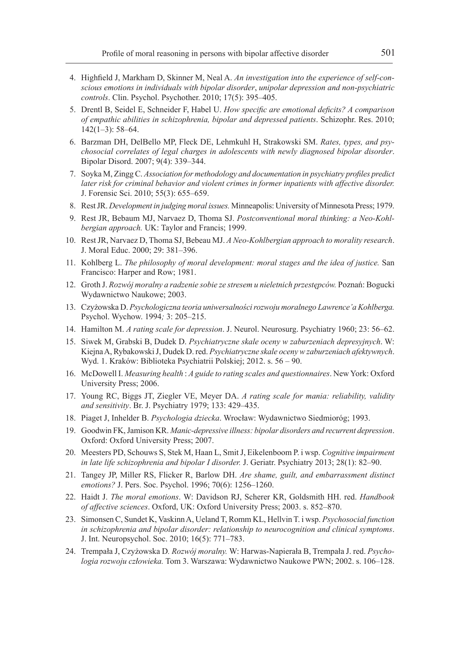- 4. Highfield J, Markham D, Skinner M, Neal A. *An investigation into the experience of self-conscious emotions in individuals with bipolar disorder*, *unipolar depression and non*-*psychiatric controls*. Clin. Psychol. Psychother. 2010; 17(5): 395–405.
- 5. Drentl B, Seidel E, Schneider F, Habel U. *How specific are emotional deficits? A comparison of empathic abilities in schizophrenia, bipolar and depressed patients*. Schizophr. Res. 2010;  $142(1-3)$ : 58-64.
- 6. Barzman DH, DelBello MP, Fleck DE, Lehmkuhl H, Strakowski SM. *Rates, types, and psychosocial correlates of legal charges in adolescents with newly diagnosed bipolar disorder*. Bipolar Disord. 2007; 9(4): 339–344.
- 7. Soyka M, Zingg C. *Association for methodology and documentation in psychiatry profiles predict later risk for criminal behavior and violent crimes in former inpatients with affective disorder.*  J. Forensic Sci. 2010; 55(3): 655–659.
- 8. Rest JR. *Development in judging moral issues.* Minneapolis: University of Minnesota Press; 1979.
- 9. Rest JR, Bebaum MJ, Narvaez D, Thoma SJ. *Postconventional moral thinking: a Neo-Kohlbergian approach.* UK: Taylor and Francis; 1999.
- 10. Rest JR, Narvaez D, Thoma SJ, Bebeau MJ. *A Neo-Kohlbergian approach to morality research*. J. Moral Educ. 2000; 29: 381–396.
- 11. Kohlberg L. *The philosophy of moral development: moral stages and the idea of justice.* San Francisco: Harper and Row; 1981.
- 12. Groth J. *Rozwój moralny a radzenie sobie ze stresem u nieletnich przestępców.* Poznań: Bogucki Wydawnictwo Naukowe; 2003.
- 13. Czyżowska D. *Psychologiczna teoria uniwersalności rozwoju moralnego Lawrence'a Kohlberga.*  Psychol. Wychow. 1994*;* 3: 205–215.
- 14. Hamilton M. *A rating scale for depression*. J. Neurol. Neurosurg. Psychiatry 1960; 23: 56–62.
- 15. Siwek M, Grabski B, Dudek D. *Psychiatryczne skale oceny w zaburzeniach depresyjnych*. W: Kiejna A, Rybakowski J, Dudek D. red. *Psychiatryczne skale oceny w zaburzeniach afektywnych*. Wyd. 1. Kraków: Biblioteka Psychiatrii Polskiej; 2012. s. 56 – 90.
- 16. McDowell I. *Measuring health* : *A guide to rating scales and questionnaires*. New York: Oxford University Press; 2006.
- 17. Young RC, Biggs JT, Ziegler VE, Meyer DA. *A rating scale for mania: reliability, validity and sensitivity*. Br. J. Psychiatry 1979; 133: 429–435.
- 18. Piaget J, Inhelder B. *Psychologia dziecka*. Wrocław: Wydawnictwo Siedmioróg; 1993.
- 19. Goodwin FK, Jamison KR. *Manic-depressive illness: bipolar disorders and recurrent depression*. Oxford: Oxford University Press; 2007.
- 20. Meesters PD, Schouws S, Stek M, Haan L, Smit J, Eikelenboom P. i wsp. *Cognitive impairment in late life schizophrenia and bipolar I disorder.* J. Geriatr. Psychiatry 2013; 28(1): 82–90.
- 21. Tangey JP, Miller RS, Flicker R, Barlow DH. *Are shame, guilt, and embarrassment distinct emotions?* J. Pers. Soc. Psychol. 1996; 70(6): 1256–1260.
- 22. Haidt J. *The moral emotions*. W: Davidson RJ, Scherer KR, Goldsmith HH. red. *Handbook of affective sciences*. Oxford, UK: Oxford University Press; 2003. s. 852–870.
- 23. Simonsen C, Sundet K, Vaskinn A, Ueland T, Romm KL, Hellvin T. i wsp. *Psychosocial function in schizophrenia and bipolar disorder: relationship to neurocognition and clinical symptoms*. J. Int. Neuropsychol. Soc. 2010; 16(5): 771–783.
- 24. Trempała J, Czyżowska D*. Rozwój moralny.* W: Harwas-Napierała B, Trempała J. red. *Psychologia rozwoju człowieka.* Tom 3. Warszawa: Wydawnictwo Naukowe PWN; 2002. s. 106–128.